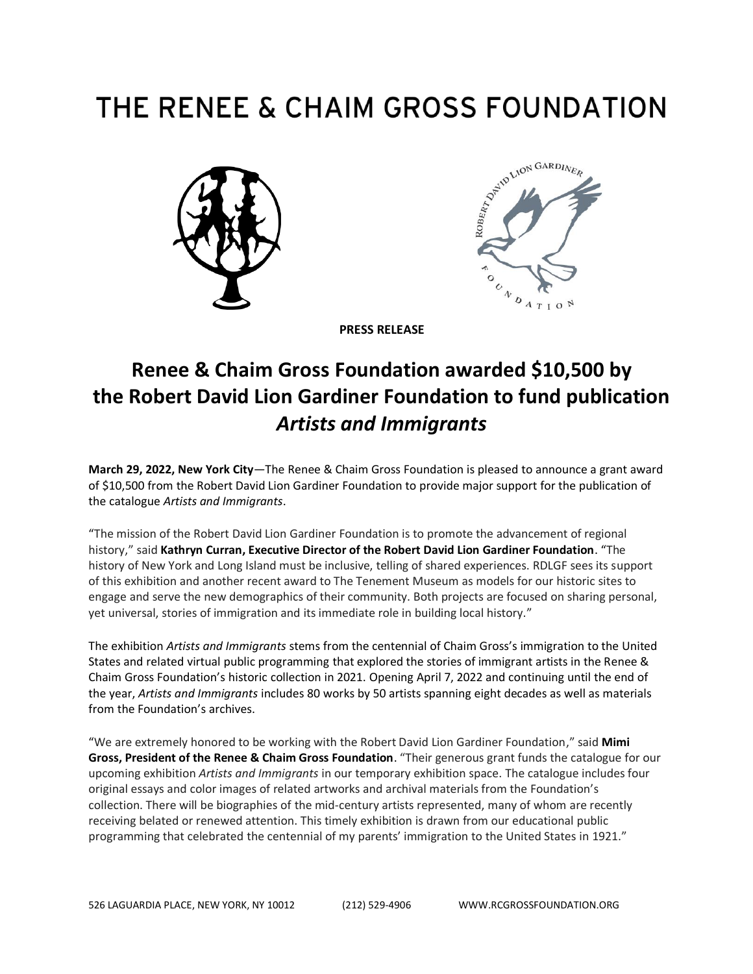# THE RENEE & CHAIM GROSS FOUNDATION





**PRESS RELEASE**

# **Renee & Chaim Gross Foundation awarded \$10,500 by the Robert David Lion Gardiner Foundation to fund publication** *Artists and Immigrants*

**March 29, 2022, New York City**—The Renee & Chaim Gross Foundation is pleased to announce a grant award of \$10,500 from the Robert David Lion Gardiner Foundation to provide major support for the publication of the catalogue *Artists and Immigrants*.

"The mission of the Robert David Lion Gardiner Foundation is to promote the advancement of regional history," said **Kathryn Curran, Executive Director of the Robert David Lion Gardiner Foundation**. "The history of New York and Long Island must be inclusive, telling of shared experiences. RDLGF sees its support of this exhibition and another recent award to The Tenement Museum as models for our historic sites to engage and serve the new demographics of their community. Both projects are focused on sharing personal, yet universal, stories of immigration and its immediate role in building local history."

The exhibition *Artists and Immigrants* stems from the centennial of Chaim Gross's immigration to the United States and related virtual public programming that explored the stories of immigrant artists in the Renee & Chaim Gross Foundation's historic collection in 2021. Opening April 7, 2022 and continuing until the end of the year, *Artists and Immigrants* includes 80 works by 50 artists spanning eight decades as well as materials from the Foundation's archives.

"We are extremely honored to be working with the Robert David Lion Gardiner Foundation," said **Mimi Gross, President of the Renee & Chaim Gross Foundation**. "Their generous grant funds the catalogue for our upcoming exhibition *Artists and Immigrants* in our temporary exhibition space. The catalogue includes four original essays and color images of related artworks and archival materials from the Foundation's collection. There will be biographies of the mid-century artists represented, many of whom are recently receiving belated or renewed attention. This timely exhibition is drawn from our educational public programming that celebrated the centennial of my parents' immigration to the United States in 1921."